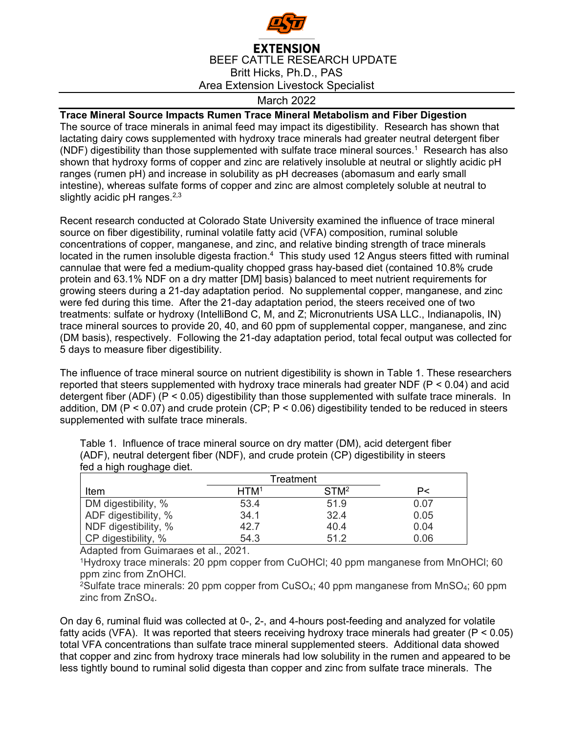

## **EXTENSION** BEEF CATTLE RESEARCH UPDATE Britt Hicks, Ph.D., PAS Area Extension Livestock Specialist

## March 2022

## **Trace Mineral Source Impacts Rumen Trace Mineral Metabolism and Fiber Digestion**

The source of trace minerals in animal feed may impact its digestibility. Research has shown that lactating dairy cows supplemented with hydroxy trace minerals had greater neutral detergent fiber (NDF) digestibility than those supplemented with sulfate trace mineral sources.1 Research has also shown that hydroxy forms of copper and zinc are relatively insoluble at neutral or slightly acidic pH ranges (rumen pH) and increase in solubility as pH decreases (abomasum and early small intestine), whereas sulfate forms of copper and zinc are almost completely soluble at neutral to slightly acidic pH ranges. $2,3$ 

Recent research conducted at Colorado State University examined the influence of trace mineral source on fiber digestibility, ruminal volatile fatty acid (VFA) composition, ruminal soluble concentrations of copper, manganese, and zinc, and relative binding strength of trace minerals located in the rumen insoluble digesta fraction.<sup>4</sup> This study used 12 Angus steers fitted with ruminal cannulae that were fed a medium-quality chopped grass hay-based diet (contained 10.8% crude protein and 63.1% NDF on a dry matter [DM] basis) balanced to meet nutrient requirements for growing steers during a 21-day adaptation period. No supplemental copper, manganese, and zinc were fed during this time. After the 21-day adaptation period, the steers received one of two treatments: sulfate or hydroxy (IntelliBond C, M, and Z; Micronutrients USA LLC., Indianapolis, IN) trace mineral sources to provide 20, 40, and 60 ppm of supplemental copper, manganese, and zinc (DM basis), respectively. Following the 21-day adaptation period, total fecal output was collected for 5 days to measure fiber digestibility.

The influence of trace mineral source on nutrient digestibility is shown in Table 1. These researchers reported that steers supplemented with hydroxy trace minerals had greater NDF (P < 0.04) and acid detergent fiber (ADF) ( $P < 0.05$ ) digestibility than those supplemented with sulfate trace minerals. In addition, DM ( $P < 0.07$ ) and crude protein (CP;  $P < 0.06$ ) digestibility tended to be reduced in steers supplemented with sulfate trace minerals.

| .oa a mgn roagnago alot. |                  |                  |      |
|--------------------------|------------------|------------------|------|
|                          | Treatment        |                  |      |
| Item                     | HTM <sup>1</sup> | STM <sup>2</sup> | P<   |
| DM digestibility, %      | 53.4             | 51.9             | 0.07 |
| ADF digestibility, %     | 34.1             | 32.4             | 0.05 |
| NDF digestibility, %     | 42.7             | 40.4             | 0.04 |
| CP digestibility, %      | 54.3             | 51.2             | 0.06 |

Table 1. Influence of trace mineral source on dry matter (DM), acid detergent fiber (ADF), neutral detergent fiber (NDF), and crude protein (CP) digestibility in steers fed a high roughage diet.

Adapted from Guimaraes et al., 2021.

1Hydroxy trace minerals: 20 ppm copper from CuOHCl; 40 ppm manganese from MnOHCl; 60 ppm zinc from ZnOHCl.

<sup>2</sup>Sulfate trace minerals: 20 ppm copper from CuSO<sub>4</sub>; 40 ppm manganese from MnSO<sub>4</sub>; 60 ppm zinc from ZnSO<sub>4</sub>.

On day 6, ruminal fluid was collected at 0-, 2-, and 4-hours post-feeding and analyzed for volatile fatty acids (VFA). It was reported that steers receiving hydroxy trace minerals had greater (P < 0.05) total VFA concentrations than sulfate trace mineral supplemented steers. Additional data showed that copper and zinc from hydroxy trace minerals had low solubility in the rumen and appeared to be less tightly bound to ruminal solid digesta than copper and zinc from sulfate trace minerals. The